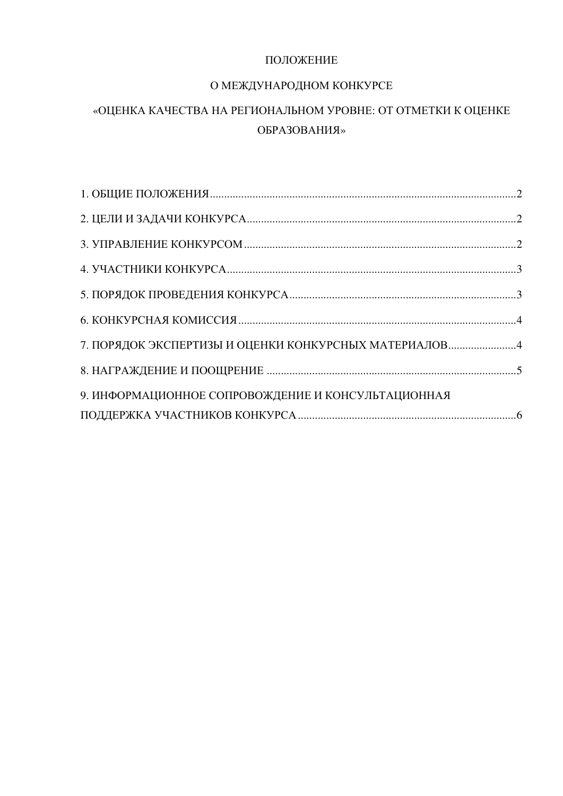### ПОЛОЖЕНИЕ

### О МЕЖДУНАРОДНОМ КОНКУРСЕ

## «ОЦЕНКА КАЧЕСТВА НА РЕГИОНАЛЬНОМ УРОВНЕ: ОТ ОТМЕТКИ К ОЦЕНКЕ ОБРАЗОВАНИЯ»

<span id="page-0-0"></span>

| 9. ИНФОРМАЦИОННОЕ СОПРОВОЖДЕНИЕ И КОНСУЛЬТАЦИОННАЯ |  |
|----------------------------------------------------|--|
|                                                    |  |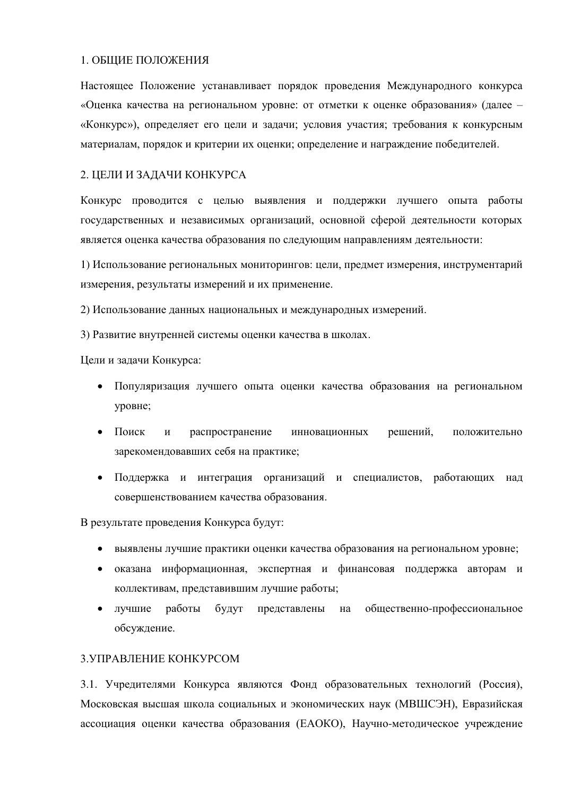#### 1. ОБЩИЕ ПОЛОЖЕНИЯ

Настоящее Положение устанавливает порядок проведения Международного конкурса «Оценка качества на региональном уровне: от отметки к оценке образования» (далее – «Конкурс»), определяет его цели и задачи; условия участия; требования к конкурсным материалам, порядок и критерии их оценки; определение и награждение победителей.

#### <span id="page-1-0"></span>2. ЦЕЛИ И ЗАДАЧИ КОНКУРСА

Конкурс проводится с целью выявления и поддержки лучшего опыта работы государственных и независимых организаций, основной сферой деятельности которых является оценка качества образования по следующим направлениям деятельности:

1) Использование региональных мониторингов: цели, предмет измерения, инструментарий измерения, результаты измерений и их применение.

2) Использование данных национальных и международных измерений.

3) Развитие внутренней системы оценки качества в школах.

Цели и задачи Конкурса:

- Популяризация лучшего опыта оценки качества образования на региональном уровне;
- Поиск и распространение инновационных решений, положительно зарекомендовавших себя на практике;
- Поддержка и интеграция организаций и специалистов, работающих над совершенствованием качества образования.

В результате проведения Конкурса будут:

- выявлены лучшие практики оценки качества образования на региональном уровне;
- оказана информационная, экспертная и финансовая поддержка авторам и коллективам, представившим лучшие работы;
- лучшие работы будут представлены на общественно-профессиональное обсуждение.

#### <span id="page-1-1"></span>3 VIIPAB TEHHE KOHKVPCOM

3.1. Учредителями Конкурса являются Фонд образовательных технологий (Россия), Московская высшая школа социальных и экономических наук (МВШСЭН), Евразийская ассоциация оценки качества образования (ЕАОКО), Научно-методическое учреждение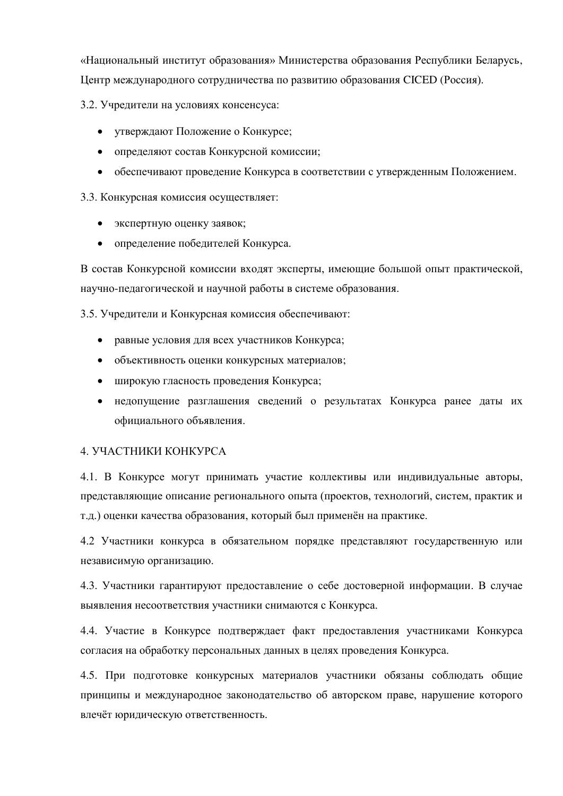«Национальный институт образования» Министерства образования Республики Беларусь, Центр международного сотрудничества по развитию образования СІСЕD (Россия).

3.2. Учредители на условиях консенсуса:

- утверждают Положение о Конкурсе;
- определяют состав Конкурсной комиссии;
- обеспечивают проведение Конкурса в соответствии с утвержденным Положением.

3.3. Конкурсная комиссия осуществляет:

- экспертную оценку заявок;
- определение победителей Конкурса.

В состав Конкурсной комиссии входят эксперты, имеющие большой опыт практической, научно-педагогической и научной работы в системе образования.

3.5. Учредители и Конкурсная комиссия обеспечивают:

- равные условия для всех участников Конкурса:
- объективность оценки конкурсных материалов;
- широкую гласность проведения Конкурса;
- недопущение разглашения сведений о результатах Конкурса ранее даты их официального объявления.

#### <span id="page-2-0"></span>4. УЧАСТНИКИ КОНКУРСА

4.1. В Конкурсе могут принимать участие коллективы или индивидуальные авторы, представляющие описание регионального опыта (проектов, технологий, систем, практик и т.д.) оценки качества образования, который был применён на практике.

4.2 Участники конкурса в обязательном порядке представляют государственную или независимую организацию.

4.3. Участники гарантируют предоставление о себе достоверной информации. В случае выявления несоответствия участники снимаются с Конкурса.

4.4. Участие в Конкурсе подтверждает факт предоставления участниками Конкурса согласия на обработку персональных данных в целях проведения Конкурса.

4.5. При подготовке конкурсных материалов участники обязаны соблюдать общие принципы и международное законодательство об авторском праве, нарушение которого влечёт юридическую ответственность.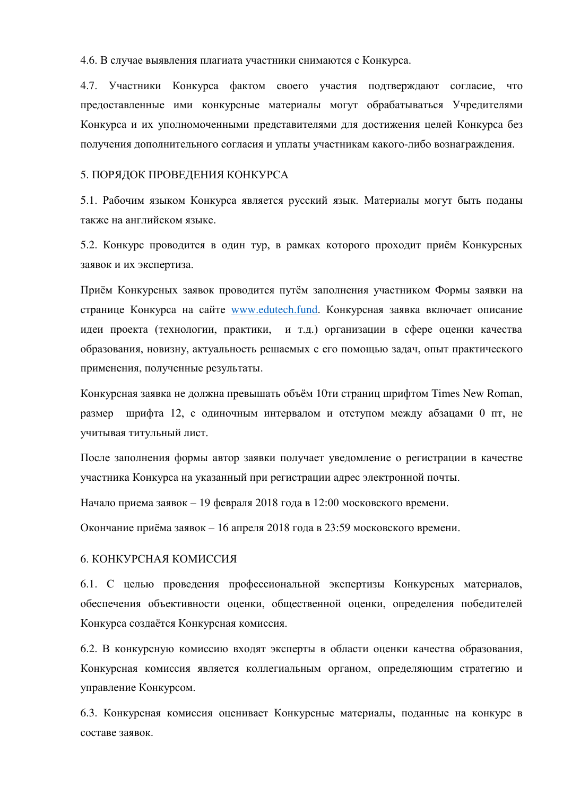4.6. В случае выявления плагиата участники снимаются с Конкурса.

4.7. Участники Конкурса фактом своего участия подтверждают согласие, что предоставленные ими конкурсные материалы могут обрабатываться Учредителями Конкурса и их уполномоченными представителями для достижения целей Конкурса без получения дополнительного согласия и уплаты участникам какого-либо вознаграждения.

#### <span id="page-3-0"></span>5. ПОРЯДОК ПРОВЕЛЕНИЯ КОНКУРСА

5.1. Рабочим языком Конкурса является русский язык. Материалы могут быть поданы также на английском языке.

5.2. Конкурс проводится в один тур, в рамках которого проходит приём Конкурсных заявок и их экспертиза.

Приём Конкурсных заявок проводится путём заполнения участником Формы заявки на странице Конкурса на сайте [www.edutech.fund.](http://www.edutech.fund/) Конкурсная заявка включает описание идеи проекта (технологии, практики, и т.д.) организации в сфере оценки качества образования, новизну, актуальность решаемых с его помощью задач, опыт практического применения, полученные результаты.

Конкурсная заявка не должна превышать объём 10ти страниц шрифтом Times New Roman, размер шрифта 12, с одиночным интервалом и отступом между абзацами 0 пт, не учитывая титульный лист.

После заполнения формы автор заявки получает уведомление о регистрации в качестве участника Конкурса на указанный при регистрации адрес электронной почты.

Начало приема заявок – 19 февраля 2018 года в 12:00 московского времени.

Окончание приёма заявок – 16 апреля 2018 года в 23:59 московского времени.

#### <span id="page-3-1"></span>6. КОНКУРСНАЯ КОМИССИЯ

6.1. С целью проведения профессиональной экспертизы Конкурсных материалов, обеспечения объективности оценки, общественной оценки, определения победителей Конкурса создаётся Конкурсная комиссия.

6.2. В конкурсную комиссию входят эксперты в области оценки качества образования, Конкурсная комиссия является коллегиальным органом, определяющим стратегию и управление Конкурсом.

6.3. Конкурсная комиссия оценивает Конкурсные материалы, поданные на конкурс в COCTABE 3ASBOK.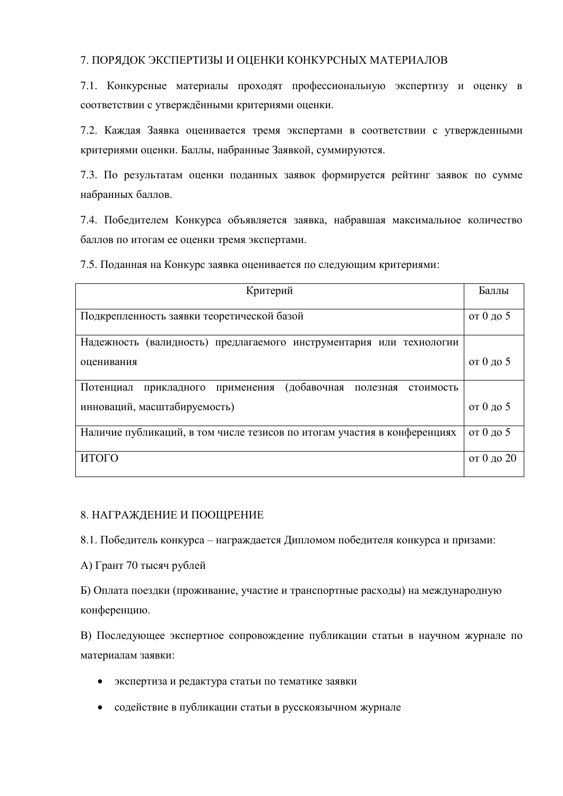#### <span id="page-4-0"></span>7. ПОРЯДОК ЭКСПЕРТИЗЫ И ОЦЕНКИ КОНКУРСНЫХ МАТЕРИАЛОВ

7.1. Конкурсные материалы проходят профессиональную экспертизу и оценку в соответствии с утверждёнными критериями оценки.

7.2. Каждая Заявка оценивается тремя экспертами в соответствии с утвержденными критериями оценки. Баллы, набранные Заявкой, суммируются.

7.3. По результатам оценки поданных заявок формируется рейтинг заявок по сумме набранных баллов.

7.4. Победителем Конкурса объявляется заявка, набравшая максимальное количество баллов по итогам ее оценки тремя экспертами.

7.5. Поданная на Конкурс заявка оценивается по следующим критериями:

| Критерий                                                                 | Баллы      |
|--------------------------------------------------------------------------|------------|
| Подкрепленность заявки теоретической базой                               | от 0 до 5  |
| Надежность (валидность) предлагаемого инструментария или технологии      |            |
| оценивания                                                               | от 0 до 5  |
| (добавочная полезная стоимость<br>Потенциал<br>прикладного применения    |            |
| инноваций, масштабируемость)                                             | от 0 до 5  |
| Наличие публикаций, в том числе тезисов по итогам участия в конференциях | от 0 до 5  |
| ИТОГО                                                                    | от 0 до 20 |

#### <span id="page-4-1"></span>8. НАГРАЖДЕНИЕ И ПООЩРЕНИЕ

8.1. Победитель конкурса – награждается Дипломом победителя конкурса и призами:

А) Грант 70 тысяч рублей

Б) Оплата поездки (проживание, участие и транспортные расходы) на международную конференцию.

В) Последующее экспертное сопровождение публикации статьи в научном журнале по материалам заявки:

- экспертиза и редактура статьи по тематике заявки
- содействие в публикации статьи в русскоязычном журнале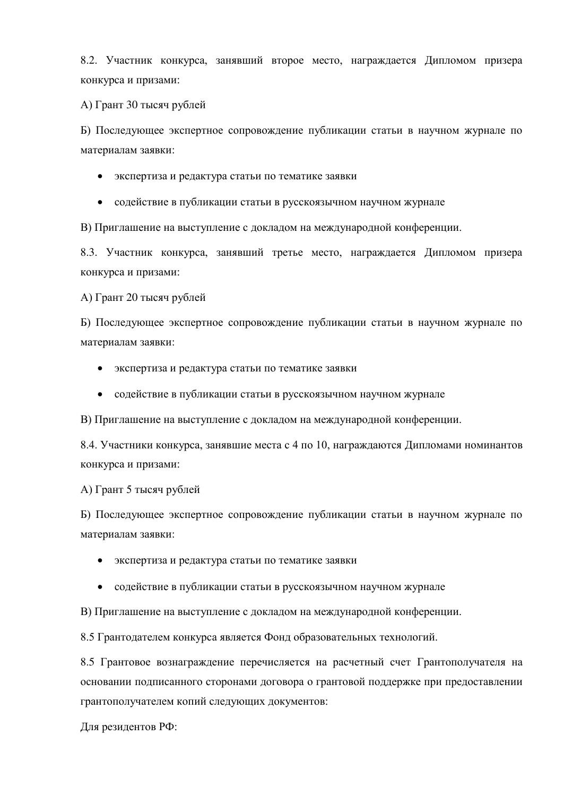8.2. Участник конкурса, занявший второе место, награждается Дипломом призера конкурса и призами:

А) Грант 30 тысяч рублей

Б) Последующее экспертное сопровождение публикации статьи в научном журнале по материалам заявки:

- экспертиза и редактура статьи по тематике заявки
- содействие в публикации статьи в русскоязычном научном журнале

В) Приглашение на выступление с докладом на международной конференции.

8.3. Участник конкурса, занявший третье место, награждается Дипломом призера конкурса и призами:

А) Грант 20 тысяч рублей

Б) Последующее экспертное сопровождение публикации статьи в научном журнале по материалам заявки:

- экспертиза и редактура статьи по тематике заявки
- содействие в публикации статьи в русскоязычном научном журнале

В) Приглашение на выступление с докладом на международной конференции.

8.4. Участники конкурса, занявшие места с 4 по 10, награждаются Дипломами номинантов конкурса и призами:

А) Грант 5 тысяч рублей

Б) Последующее экспертное сопровождение публикации статьи в научном журнале по материалам заявки:

- экспертиза и редактура статьи по тематике заявки
- содействие в публикации статьи в русскоязычном научном журнале

В) Приглашение на выступление с докладом на международной конференции.

8.5 Грантодателем конкурса является Фонд образовательных технологий.

8.5 Грантовое вознаграждение перечисляется на расчетный счет Грантополучателя на основании подписанного сторонами договора о грантовой поддержке при предоставлении грантополучателем копий следующих документов:

Для резидентов РФ: